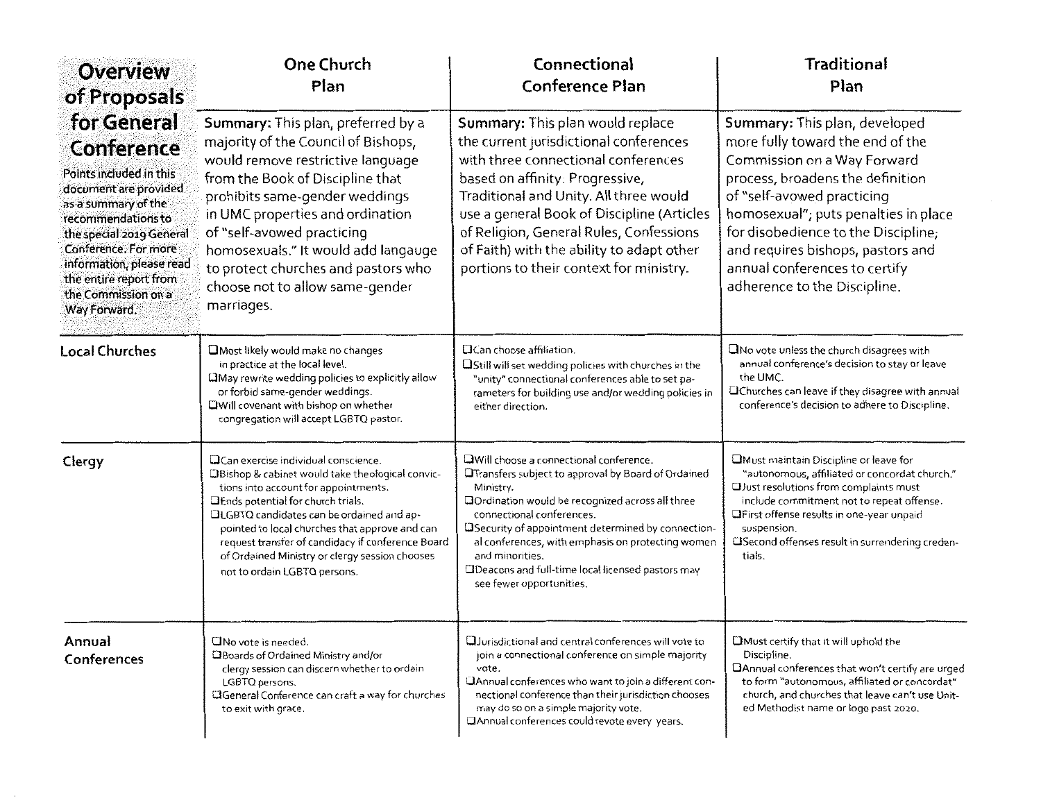| <b>Overview</b><br>of Proposals                                                                                                                                                                                                                                              | <b>One Church</b><br>Plan                                                                                                                                                                                                                                                                                                                                                                                           | Connectional<br><b>Conference Plan</b>                                                                                                                                                                                                                                                                                                                                                                                      | <b>Traditional</b><br>Plan                                                                                                                                                                                                                                                                                                                              |
|------------------------------------------------------------------------------------------------------------------------------------------------------------------------------------------------------------------------------------------------------------------------------|---------------------------------------------------------------------------------------------------------------------------------------------------------------------------------------------------------------------------------------------------------------------------------------------------------------------------------------------------------------------------------------------------------------------|-----------------------------------------------------------------------------------------------------------------------------------------------------------------------------------------------------------------------------------------------------------------------------------------------------------------------------------------------------------------------------------------------------------------------------|---------------------------------------------------------------------------------------------------------------------------------------------------------------------------------------------------------------------------------------------------------------------------------------------------------------------------------------------------------|
| for General<br>Conference<br>Points included in this<br>document are provided.<br>as a summary of the<br>recommendations to<br>the special 2019 General<br>Conference. For more<br>information, please read<br>the entire report from<br>the Commission on a<br>Way Forward. | Summary: This plan, preferred by a<br>majority of the Council of Bishops,<br>would remove restrictive language<br>from the Book of Discipline that<br>prohibits same-gender weddings<br>in UMC properties and ordination<br>of "self-avowed practicing<br>homosexuals." It would add langauge<br>to protect churches and pastors who<br>choose not to allow same-gender<br>marriages.                               | Summary: This plan would replace<br>the current jurisdictional conferences<br>with three connectional conferences<br>based on affinity: Progressive,<br>Traditional and Unity. All three would<br>use a general Book of Discipline (Articles<br>of Religion, General Rules, Confessions<br>of Faith) with the ability to adapt other<br>portions to their context for ministry.                                             | Summary: This plan, developed<br>more fully toward the end of the<br>Commission on a Way Forward<br>process, broadens the definition<br>of "self-avowed practicing<br>homosexual"; puts penalties in place<br>for disobedience to the Discipline;<br>and requires bishops, pastors and<br>annual conferences to certify<br>adherence to the Discipline. |
| <b>Local Churches</b>                                                                                                                                                                                                                                                        | Most likely would make no changes<br>in practice at the local level.<br>LiMay rewrite wedding policies to explicitly allow<br>or forbid same-gender weddings.<br>CIWill covenant with bishop on whether<br>congregation will accept LGBTQ pastor.                                                                                                                                                                   | <b>QCan choose affiliation.</b><br><b>OStill will set wedding policies with churches in the</b><br>"unity" connectional conferences able to set pa-<br>rameters for building use and/or wedding policies in<br>either direction.                                                                                                                                                                                            | UNo vote unless the church disagrees with<br>annual conference's decision to stay or leave<br>the UMC.<br><b>QChurches can leave if they disagree with annual</b><br>conference's decision to adhere to Discipline.                                                                                                                                     |
| Clergy                                                                                                                                                                                                                                                                       | OCan exercise individual conscience.<br>DBishop & cabinet would take theological convic-<br>tions into account for appointments.<br><b>OEnds potential for church trials.</b><br>LLGBTQ candidates can be ordained and ap-<br>pointed to local churches that approve and can<br>request transfer of candidacy if conference Board<br>of Ordained Ministry or clergy session chooses<br>not to ordain LGBTQ persons. | OWill choose a connectional conference.<br><b>La Transfers subject to approval by Board of Ordained</b><br>Ministry.<br>DOrdination would be recognized across all three<br>connectional conferences.<br>ESecurity of appointment determined by connection-<br>al conferences, with emphasis on protecting women<br>and minorities.<br><b>QDeacons and full-time local licensed pastors may</b><br>see fewer opportunities. | Must maintain Discipline or leave for<br>"autonomous, affiliated or concordat church."<br>OJust resolutions from complaints must<br>include commitment not to repeat offense.<br>OFirst offense results in one-year unpaid<br>suspension.<br>ESecond offenses result in surrendering creden-<br>tials.                                                  |
| Annual<br>Conferences                                                                                                                                                                                                                                                        | ONo vote is needed.<br><b>ElBoards of Ordained Ministry and/or</b><br>clergy session can discern whether to ordain<br>LGBTQ persons.<br><b>CGeneral Conference can craft a way for churches</b><br>to exit with grace.                                                                                                                                                                                              | <b>Q</b> Jurisdictional and central conferences will vote to<br>join a connectional conference on simple majority<br>vote.<br>CAnnual conferences who want to join a different con-<br>nectional conference than their jurisdiction chooses<br>may do so on a simple majority vote.<br>CJAnnual conferences could revote every years.                                                                                       | <b>CMust certify that it will uphold the</b><br>Discipline.<br>DAnnual conferences that won't certify are urged<br>to form "autonomous, affiliated or concordat"<br>church, and churches that leave can't use Unit-<br>ed Methodist name or logo past 2020.                                                                                             |